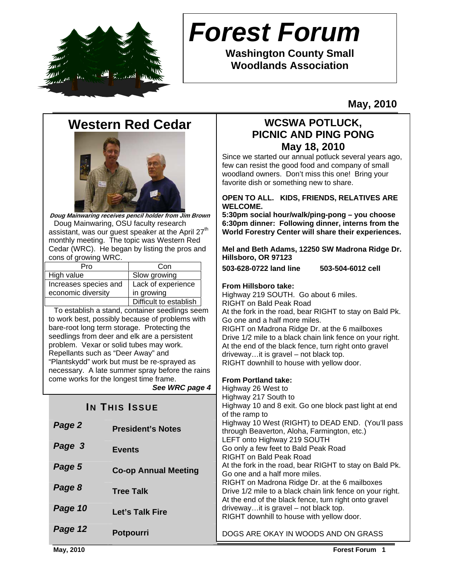

# *Forest Forum*

**Washington County Small Woodlands Association** 

**May, 2010** 

# **Western Red Cedar**



**Doug Mainwaring receives pencil holder from Jim Brown**  Doug Mainwaring, OSU faculty research assistant, was our guest speaker at the April 27<sup>th</sup> monthly meeting. The topic was Western Red Cedar (WRC). He began by listing the pros and cons of growing WRC.

| Pro                   | Con                    |  |
|-----------------------|------------------------|--|
| High value            | Slow growing           |  |
| Increases species and | Lack of experience     |  |
| economic diversity    | in growing             |  |
|                       | Difficult to establish |  |

 To establish a stand, container seedlings seem to work best, possibly because of problems with bare-root long term storage. Protecting the seedlings from deer and elk are a persistent problem. Vexar or solid tubes may work. Repellants such as "Deer Away" and "Plantskydd" work but must be re-sprayed as necessary. A late summer spray before the rains come works for the longest time frame.

*See WRC page 4*

|         |                             | of the ramp to                                                                                                                                                |
|---------|-----------------------------|---------------------------------------------------------------------------------------------------------------------------------------------------------------|
| Page 2  | <b>President's Notes</b>    | Highway 10 West (RIGHT) to DEAD END. (You'll<br>through Beaverton, Aloha, Farmington, etc.)                                                                   |
| Page 3  | <b>Events</b>               | LEFT onto Highway 219 SOUTH<br>Go only a few feet to Bald Peak Road<br>RIGHT on Bald Peak Road                                                                |
| Page 5  | <b>Co-op Annual Meeting</b> | At the fork in the road, bear RIGHT to stay on Bal-<br>Go one and a half more miles.                                                                          |
| Page 8  | <b>Tree Talk</b>            | RIGHT on Madrona Ridge Dr. at the 6 mailboxes<br>Drive 1/2 mile to a black chain link fence on your i<br>At the end of the black fence, turn right onto grave |
| Page 10 | Let's Talk Fire             | drivewayit is gravel – not black top.<br>RIGHT downhill to house with yellow door.                                                                            |
| Page 12 | <b>Potpourri</b>            | DOGS ARE OKAY IN WOODS AND ON GRASS                                                                                                                           |

## **WCSWA POTLUCK, PICNIC AND PING PONG May 18, 2010**

Since we started our annual potluck several years ago, few can resist the good food and company of small woodland owners. Don't miss this one! Bring your favorite dish or something new to share.

#### **OPEN TO ALL. KIDS, FRIENDS, RELATIVES ARE WELCOME.**

**5:30pm social hour/walk/ping-pong – you choose 6:30pm dinner: Following dinner, interns from the World Forestry Center will share their experiences.** 

**Mel and Beth Adams, 12250 SW Madrona Ridge Dr. Hillsboro, OR 97123** 

**503-628-0722 land line 503-504-6012 cell** 

#### **From Hillsboro take:**

Highway 219 SOUTH. Go about 6 miles. RIGHT on Bald Peak Road

At the fork in the road, bear RIGHT to stay on Bald Pk. Go one and a half more miles.

RIGHT on Madrona Ridge Dr. at the 6 mailboxes Drive 1/2 mile to a black chain link fence on your right. At the end of the black fence, turn right onto gravel driveway…it is gravel – not black top. RIGHT downhill to house with yellow door.

### **From Portland take:**

**Notes from the President**  Highway 26 West to **by Indianal Problems** In Code of the block past light at end Highway 217 South to . (You'll pass through Beaverton, Aloha, Farmington, etc.) v on Bald Pk. ailboxes on your right. hto gravel RIGHT downhill to house with yellow door.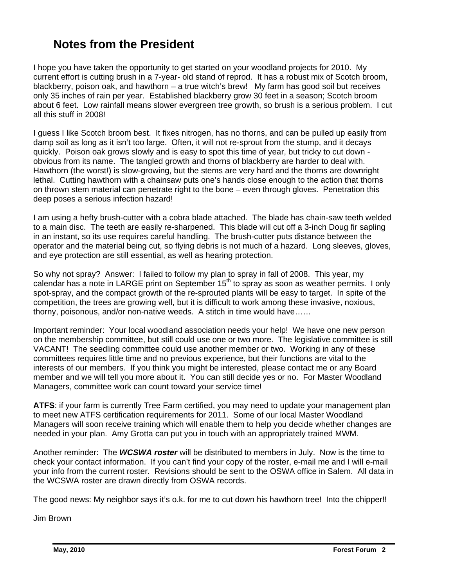# **Notes from the President**

I hope you have taken the opportunity to get started on your woodland projects for 2010. My current effort is cutting brush in a 7-year- old stand of reprod. It has a robust mix of Scotch broom, blackberry, poison oak, and hawthorn – a true witch's brew! My farm has good soil but receives only 35 inches of rain per year. Established blackberry grow 30 feet in a season; Scotch broom about 6 feet. Low rainfall means slower evergreen tree growth, so brush is a serious problem. I cut all this stuff in 2008!

I guess I like Scotch broom best. It fixes nitrogen, has no thorns, and can be pulled up easily from damp soil as long as it isn't too large. Often, it will not re-sprout from the stump, and it decays quickly. Poison oak grows slowly and is easy to spot this time of year, but tricky to cut down obvious from its name. The tangled growth and thorns of blackberry are harder to deal with. Hawthorn (the worst!) is slow-growing, but the stems are very hard and the thorns are downright lethal. Cutting hawthorn with a chainsaw puts one's hands close enough to the action that thorns on thrown stem material can penetrate right to the bone – even through gloves. Penetration this deep poses a serious infection hazard!

I am using a hefty brush-cutter with a cobra blade attached. The blade has chain-saw teeth welded to a main disc. The teeth are easily re-sharpened. This blade will cut off a 3-inch Doug fir sapling in an instant, so its use requires careful handling. The brush-cutter puts distance between the operator and the material being cut, so flying debris is not much of a hazard. Long sleeves, gloves, and eye protection are still essential, as well as hearing protection.

So why not spray? Answer: I failed to follow my plan to spray in fall of 2008. This year, my calendar has a note in LARGE print on September  $15<sup>th</sup>$  to spray as soon as weather permits. I only spot-spray, and the compact growth of the re-sprouted plants will be easy to target. In spite of the competition, the trees are growing well, but it is difficult to work among these invasive, noxious, thorny, poisonous, and/or non-native weeds. A stitch in time would have……

Important reminder: Your local woodland association needs your help! We have one new person on the membership committee, but still could use one or two more. The legislative committee is still VACANT! The seedling committee could use another member or two. Working in any of these committees requires little time and no previous experience, but their functions are vital to the interests of our members. If you think you might be interested, please contact me or any Board member and we will tell you more about it. You can still decide yes or no. For Master Woodland Managers, committee work can count toward your service time!

**ATFS**: if your farm is currently Tree Farm certified, you may need to update your management plan to meet new ATFS certification requirements for 2011. Some of our local Master Woodland Managers will soon receive training which will enable them to help you decide whether changes are needed in your plan. Amy Grotta can put you in touch with an appropriately trained MWM.

Another reminder: The *WCSWA roster* will be distributed to members in July. Now is the time to check your contact information. If you can't find your copy of the roster, e-mail me and I will e-mail your info from the current roster. Revisions should be sent to the OSWA office in Salem. All data in the WCSWA roster are drawn directly from OSWA records.

The good news: My neighbor says it's o.k. for me to cut down his hawthorn tree! Into the chipper!!

Jim Brown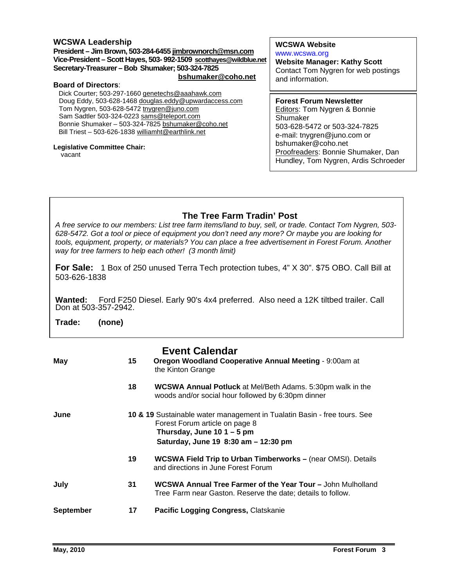#### **WCSWA Leadership**

**President – Jim Brown, 503-284-6455 jimbrownorch@msn.com Vice-President – Scott Hayes, 503- 992-1509 scotthayes@wildblue.net Secretary-Treasurer – Bob Shumaker; 503-324-7825 bshumaker@coho.net**

#### **Board of Directors**:

Dick Courter; 503-297-1660 genetechs@aaahawk.com Doug Eddy, 503-628-1468 douglas.eddy@upwardaccess.com Tom Nygren, 503-628-5472 tnygren@juno.com Sam Sadtler 503-324-0223 sams@teleport.com Bonnie Shumaker – 503-324-7825 bshumaker@coho.net Bill Triest – 503-626-1838 williamht@earthlink.net

#### **Legislative Committee Chair:**

vacant

### **WCSWA Website**

www.wcswa.org **Website Manager: Kathy Scott** Contact Tom Nygren for web postings and information.

#### **Forest Forum Newsletter**

Editors: Tom Nygren & Bonnie Shumaker 503-628-5472 or 503-324-7825 e-mail: tnygren@juno.com or bshumaker@coho.net Proofreaders: Bonnie Shumaker, Dan Hundley, Tom Nygren, Ardis Schroeder

### **The Tree Farm Tradin' Post**

*A free service to our members: List tree farm items/land to buy, sell, or trade. Contact Tom Nygren, 503- 628-5472. Got a tool or piece of equipment you don't need any more? Or maybe you are looking for tools, equipment, property, or materials? You can place a free advertisement in Forest Forum. Another way for tree farmers to help each other! (3 month limit)* 

**For Sale:** 1 Box of 250 unused Terra Tech protection tubes, 4" X 30". \$75 OBO. Call Bill at 503-626-1838

Wanted: Ford F250 Diesel. Early 90's 4x4 preferred. Also need a 12K tiltbed trailer. Call Don at 503-357-2942.

**Trade: (none)** 

|                  |    | <b>Event Calendar</b>                                                                                                                                                              |
|------------------|----|------------------------------------------------------------------------------------------------------------------------------------------------------------------------------------|
| May              | 15 | Oregon Woodland Cooperative Annual Meeting - 9:00am at<br>the Kinton Grange                                                                                                        |
|                  | 18 | <b>WCSWA Annual Potluck</b> at Mel/Beth Adams. 5:30pm walk in the<br>woods and/or social hour followed by 6:30pm dinner                                                            |
| June             |    | 10 & 19 Sustainable water management in Tualatin Basin - free tours. See<br>Forest Forum article on page 8<br>Thursday, June 10 $1 - 5$ pm<br>Saturday, June 19 8:30 am - 12:30 pm |
|                  | 19 | <b>WCSWA Field Trip to Urban Timberworks - (near OMSI). Details</b><br>and directions in June Forest Forum                                                                         |
| July             | 31 | <b>WCSWA Annual Tree Farmer of the Year Tour - John Mulholland</b><br>Tree Farm near Gaston. Reserve the date; details to follow.                                                  |
| <b>September</b> | 17 | Pacific Logging Congress, Clatskanie                                                                                                                                               |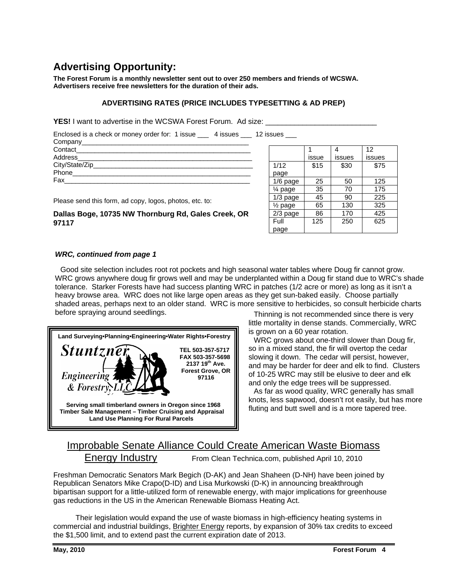# **Advertising Opportunity:**

**The Forest Forum is a monthly newsletter sent out to over 250 members and friends of WCSWA. Advertisers receive free newsletters for the duration of their ads.** 

#### **ADVERTISING RATES (PRICE INCLUDES TYPESETTING & AD PREP)**

**YES!** I want to advertise in the WCSWA Forest Forum. Ad size:

Enclosed is a check or money order for: 1 issue \_\_\_ 4 issues \_\_\_ 12 issues \_\_\_

| Company__________            |  |
|------------------------------|--|
| Contact                      |  |
| Address_________________     |  |
| City/State/Zip______________ |  |
| Phone                        |  |
| Fax                          |  |

Please send this form, ad copy, logos, photos, etc. to:

#### **Dallas Boge, 10735 NW Thornburg Rd, Gales Creek, OR 97117**

|                      |       |        | 12     |
|----------------------|-------|--------|--------|
|                      | issue | issues | issues |
| 1/12                 | \$15  | \$30   | \$75   |
| page                 |       |        |        |
| 1/6 page             | 25    | 50     | 125    |
| 1⁄4 page             | 35    | 70     | 175    |
| $1/3$ page           | 45    | 90     | 225    |
| 1/ <sub>2</sub> page | 65    | 130    | 325    |
| $2/3$ page           | 86    | 170    | 425    |
| Full                 | 125   | 250    | 625    |
| page                 |       |        |        |

#### *WRC, continued from page 1*

WRC grows anywhere doug fir grows well and may be underplanted within a Doug fir stand due to WRC's shade Good site selection includes root rot pockets and high seasonal water tables where Doug fir cannot grow. tolerance. Starker Forests have had success planting WRC in patches (1/2 acre or more) as long as it isn't a heavy browse area. WRC does not like large open areas as they get sun-baked easily. Choose partially shaded areas, perhaps next to an older stand. WRC is more sensitive to herbicides, so consult herbicide charts before spraying around seedlings. Thinning is not recommended since there is very



little mortality in dense stands. Commercially, WRC is grown on a 60 year rotation.

 WRC grows about one-third slower than Doug fir, so in a mixed stand, the fir will overtop the cedar slowing it down. The cedar will persist, however, and may be harder for deer and elk to find. Clusters of 10-25 WRC may still be elusive to deer and elk and only the edge trees will be suppressed.

 As far as wood quality, WRC generally has small knots, less sapwood, doesn't rot easily, but has more fluting and butt swell and is a more tapered tree.

# Improbable Senate Alliance Could Create American Waste Biomass Energy Industry From Clean Technica.com, published April 10, 2010

Freshman Democratic Senators Mark Begich (D-AK) and Jean Shaheen (D-NH) have been joined by Republican Senators Mike Crapo(D-ID) and Lisa Murkowski (D-K) in announcing breakthrough bipartisan support for a little-utilized form of renewable energy, with major implications for greenhouse gas reductions in the US in the American Renewable Biomass Heating Act.

Their legislation would expand the use of waste biomass in high-efficiency heating systems in commercial and industrial buildings, Brighter Energy reports, by expansion of 30% tax credits to exceed the \$1,500 limit, and to extend past the current expiration date of 2013.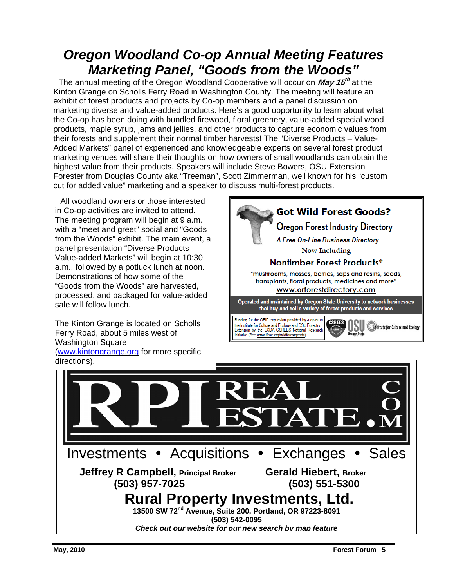# *Oregon Woodland Co-op Annual Meeting Features Marketing Panel, "Goods from the Woods"*

 The annual meeting of the Oregon Woodland Cooperative will occur on **May 15th** at the Kinton Grange on Scholls Ferry Road in Washington County. The meeting will feature an exhibit of forest products and projects by Co-op members and a panel discussion on marketing diverse and value-added products. Here's a good opportunity to learn about what the Co-op has been doing with bundled firewood, floral greenery, value-added special wood products, maple syrup, jams and jellies, and other products to capture economic values from their forests and supplement their normal timber harvests! The "Diverse Products – Value-Added Markets" panel of experienced and knowledgeable experts on several forest product marketing venues will share their thoughts on how owners of small woodlands can obtain the highest value from their products. Speakers will include Steve Bowers, OSU Extension Forester from Douglas County aka "Treeman", Scott Zimmerman, well known for his "custom cut for added value" marketing and a speaker to discuss multi-forest products.

 All woodland owners or those interested in Co-op activities are invited to attend. The meeting program will begin at 9 a.m. with a "meet and greet" social and "Goods from the Woods" exhibit. The main event, a panel presentation "Diverse Products – Value-added Markets" will begin at 10:30 a.m., followed by a potluck lunch at noon. Demonstrations of how some of the "Goods from the Woods" are harvested, processed, and packaged for value-added sale will follow lunch.

The Kinton Grange is located on Scholls Ferry Road, about 5 miles west of Washington Square (www.kintongrange.org for more specific



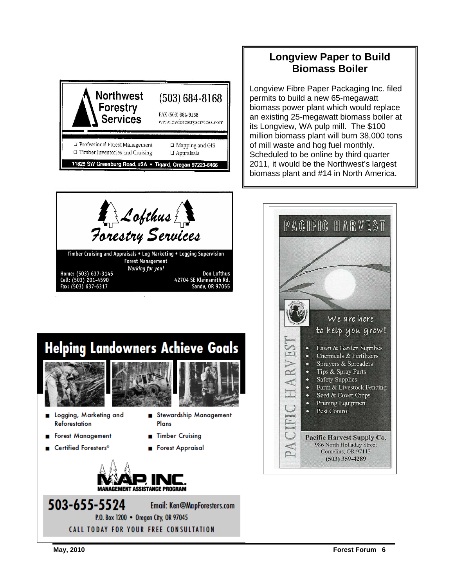



Longview Fibre Paper Packaging Inc. filed permits to build a new 65-megawatt biomass power plant which would replace an existing 25-megawatt biomass boiler at its Longview, WA pulp mill. The \$100 million biomass plant will burn 38,000 tons of mill waste and hog fuel monthly. Scheduled to be online by third quarter 2011, it would be the Northwest's largest biomass plant and #14 in North America.



**GEMENT ASSISTANCE PROGRAM** 

P.O. Box 1200 • Oregon City, OR 97045 **CALL TODAY FOR YOUR FREE CONSULTATION** 

Email: Ken@MapForesters.com



503-655-5524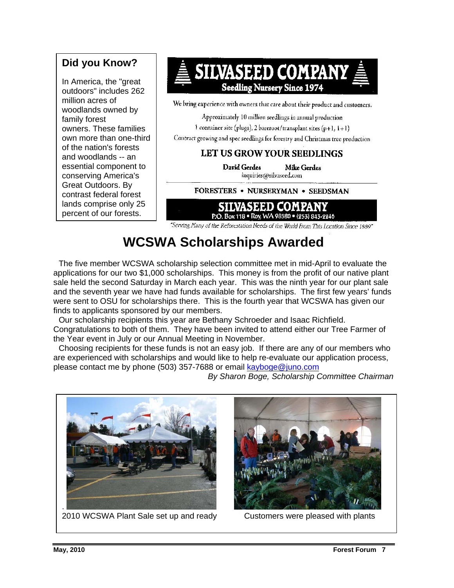# **Did you Know?**

In America, the "great outdoors" includes 262 million acres of woodlands owned by family forest owners. These families own more than one-third of the nation's forests and woodlands -- an essential component to conserving America's Great Outdoors. By contrast federal forest lands comprise only 25 percent of our forests.



1 container site (plugs), 2 bareroot/transplant sites (p+1,  $1+1$ )

Contract growing and spec seedlings for forestry and Christmas tree production

# LET US GROW YOUR SEEDLINGS

**David Gerdes Mike Gerdes** inquiries@silvaseed.com

#### FORESTERS . NURSERYMAN . SEEDSMAN



"Serving Many of the Reforcstation Needs of the World From This Location Since 1889"

# **WCSWA Scholarships Awarded**

 The five member WCSWA scholarship selection committee met in mid-April to evaluate the applications for our two \$1,000 scholarships. This money is from the profit of our native plant sale held the second Saturday in March each year. This was the ninth year for our plant sale and the seventh year we have had funds available for scholarships. The first few years' funds were sent to OSU for scholarships there. This is the fourth year that WCSWA has given our finds to applicants sponsored by our members.

 Our scholarship recipients this year are Bethany Schroeder and Isaac Richfield. Congratulations to both of them. They have been invited to attend either our Tree Farmer of the Year event in July or our Annual Meeting in November.

 Choosing recipients for these funds is not an easy job. If there are any of our members who are experienced with scholarships and would like to help re-evaluate our application process, please contact me by phone (503) 357-7688 or email kayboge@juno.com

*By Sharon Boge, Scholarship Committee Chairman* 



2010 WCSWA Plant Sale set up and ready Customers were pleased with plants

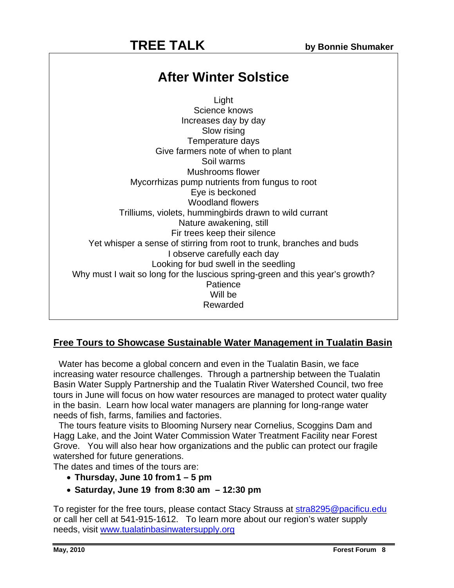# **TREE TALK** by Bonnie Shumaker

# **After Winter Solstice**

Light Science knows Increases day by day Slow rising Temperature days Give farmers note of when to plant Soil warms Mushrooms flower Mycorrhizas pump nutrients from fungus to root Eye is beckoned Woodland flowers Trilliums, violets, hummingbirds drawn to wild currant Nature awakening, still Fir trees keep their silence Yet whisper a sense of stirring from root to trunk, branches and buds I observe carefully each day Looking for bud swell in the seedling Why must I wait so long for the luscious spring-green and this year's growth? **Patience** Will be Rewarded

### **Free Tours to Showcase Sustainable Water Management in Tualatin Basin**

 Water has become a global concern and even in the Tualatin Basin, we face increasing water resource challenges. Through a partnership between the Tualatin Basin Water Supply Partnership and the Tualatin River Watershed Council, two free tours in June will focus on how water resources are managed to protect water quality in the basin. Learn how local water managers are planning for long-range water needs of fish, farms, families and factories.

 The tours feature visits to Blooming Nursery near Cornelius, Scoggins Dam and Hagg Lake, and the Joint Water Commission Water Treatment Facility near Forest Grove. You will also hear how organizations and the public can protect our fragile watershed for future generations.

The dates and times of the tours are:

- **Thursday, June 10 from 1 5 pm**
- **Saturday, June 19 from 8:30 am 12:30 pm**

To register for the free tours, please contact Stacy Strauss at stra8295@pacificu.edu or call her cell at 541-915-1612. To learn more about our region's water supply needs, visit www.tualatinbasinwatersupply.org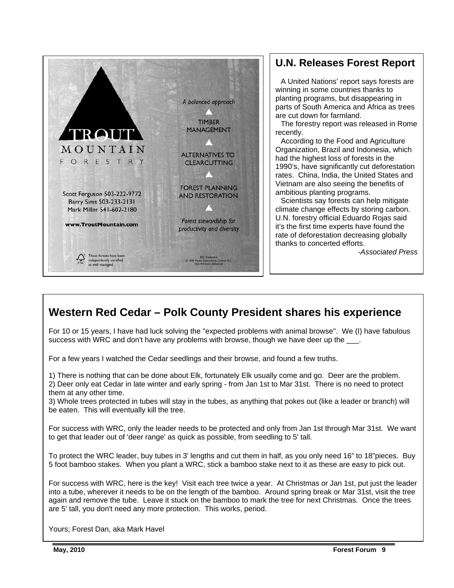

# **U.N. Releases Forest Report**

 A United Nations' report says forests are winning in some countries thanks to planting programs, but disappearing in parts of South America and Africa as trees are cut down for farmland.

 The forestry report was released in Rome recently.

 According to the Food and Agriculture Organization, Brazil and Indonesia, which had the highest loss of forests in the 1990's, have significantly cut deforestation rates. China, India, the United States and Vietnam are also seeing the benefits of ambitious planting programs.

 Scientists say forests can help mitigate climate change effects by storing carbon. U.N. forestry official Eduardo Rojas said it's the first time experts have found the rate of deforestation decreasing globally thanks to concerted efforts.

*-Associated Press*

# **Western Red Cedar – Polk County President shares his experience**

For 10 or 15 years, I have had luck solving the "expected problems with animal browse". We (I) have fabulous success with WRC and don't have any problems with browse, though we have deer up the

For a few years I watched the Cedar seedlings and their browse, and found a few truths.

1) There is nothing that can be done about Elk, fortunately Elk usually come and go. Deer are the problem. 2) Deer only eat Cedar in late winter and early spring - from Jan 1st to Mar 31st. There is no need to protect them at any other time.

3) Whole trees protected in tubes will stay in the tubes, as anything that pokes out (like a leader or branch) will be eaten. This will eventually kill the tree.

For success with WRC, only the leader needs to be protected and only from Jan 1st through Mar 31st. We want to get that leader out of 'deer range' as quick as possible, from seedling to 5' tall.

To protect the WRC leader, buy tubes in 3' lengths and cut them in half, as you only need 16" to 18"pieces. Buy 5 foot bamboo stakes. When you plant a WRC, stick a bamboo stake next to it as these are easy to pick out.

For success with WRC, here is the key! Visit each tree twice a year. At Christmas or Jan 1st, put just the leader into a tube, wherever it needs to be on the length of the bamboo. Around spring break or Mar 31st, visit the tree again and remove the tube. Leave it stuck on the bamboo to mark the tree for next Christmas. Once the trees are 5' tall, you don't need any more protection. This works, period.

Yours; Forest Dan, aka Mark Havel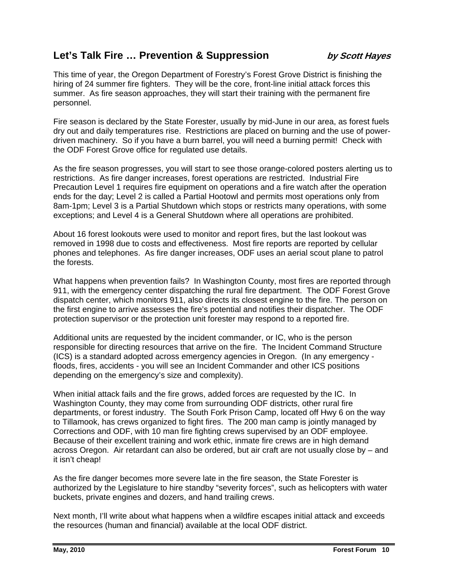# Let's Talk Fire ... Prevention & Suppression *by Scott Hayes*

This time of year, the Oregon Department of Forestry's Forest Grove District is finishing the hiring of 24 summer fire fighters. They will be the core, front-line initial attack forces this summer. As fire season approaches, they will start their training with the permanent fire personnel.

Fire season is declared by the State Forester, usually by mid-June in our area, as forest fuels dry out and daily temperatures rise. Restrictions are placed on burning and the use of powerdriven machinery. So if you have a burn barrel, you will need a burning permit! Check with the ODF Forest Grove office for regulated use details.

As the fire season progresses, you will start to see those orange-colored posters alerting us to restrictions. As fire danger increases, forest operations are restricted. Industrial Fire Precaution Level 1 requires fire equipment on operations and a fire watch after the operation ends for the day; Level 2 is called a Partial Hootowl and permits most operations only from 8am-1pm; Level 3 is a Partial Shutdown which stops or restricts many operations, with some exceptions; and Level 4 is a General Shutdown where all operations are prohibited.

About 16 forest lookouts were used to monitor and report fires, but the last lookout was removed in 1998 due to costs and effectiveness. Most fire reports are reported by cellular phones and telephones. As fire danger increases, ODF uses an aerial scout plane to patrol the forests.

What happens when prevention fails? In Washington County, most fires are reported through 911, with the emergency center dispatching the rural fire department. The ODF Forest Grove dispatch center, which monitors 911, also directs its closest engine to the fire. The person on the first engine to arrive assesses the fire's potential and notifies their dispatcher. The ODF protection supervisor or the protection unit forester may respond to a reported fire.

Additional units are requested by the incident commander, or IC, who is the person responsible for directing resources that arrive on the fire. The Incident Command Structure (ICS) is a standard adopted across emergency agencies in Oregon. (In any emergency floods, fires, accidents - you will see an Incident Commander and other ICS positions depending on the emergency's size and complexity).

When initial attack fails and the fire grows, added forces are requested by the IC. In Washington County, they may come from surrounding ODF districts, other rural fire departments, or forest industry. The South Fork Prison Camp, located off Hwy 6 on the way to Tillamook, has crews organized to fight fires. The 200 man camp is jointly managed by Corrections and ODF, with 10 man fire fighting crews supervised by an ODF employee. Because of their excellent training and work ethic, inmate fire crews are in high demand across Oregon. Air retardant can also be ordered, but air craft are not usually close by – and it isn't cheap!

As the fire danger becomes more severe late in the fire season, the State Forester is authorized by the Legislature to hire standby "severity forces", such as helicopters with water buckets, private engines and dozers, and hand trailing crews.

Next month, I'll write about what happens when a wildfire escapes initial attack and exceeds the resources (human and financial) available at the local ODF district.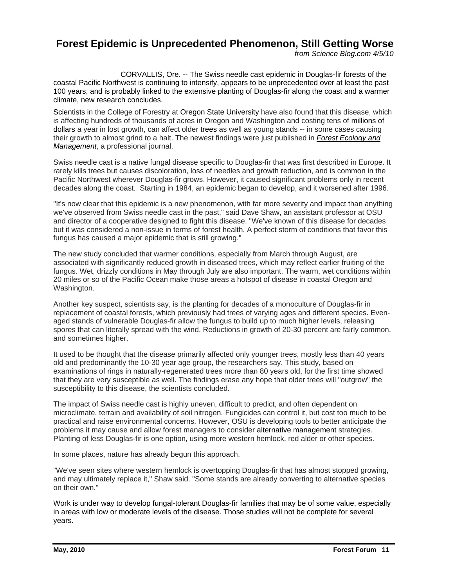# **Forest Epidemic is Unprecedented Phenomenon, Still Getting Worse**

*from Science Blog.com 4/5/10* 

CORVALLIS, Ore. -- The Swiss needle cast epidemic in Douglas-fir forests of the coastal Pacific Northwest is continuing to intensify, appears to be unprecedented over at least the past 100 years, and is probably linked to the extensive planting of Douglas-fir along the coast and a warmer climate, new research concludes.

Scientists in the College of Forestry at Oregon State University have also found that this disease, which is affecting hundreds of thousands of acres in Oregon and Washington and costing tens of millions of dollars a year in lost growth, can affect older trees as well as young stands -- in some cases causing their growth to almost grind to a halt. The newest findings were just published in *Forest Ecology and Management*, a professional journal.

Swiss needle cast is a native fungal disease specific to Douglas-fir that was first described in Europe. It rarely kills trees but causes discoloration, loss of needles and growth reduction, and is common in the Pacific Northwest wherever Douglas-fir grows. However, it caused significant problems only in recent decades along the coast. Starting in 1984, an epidemic began to develop, and it worsened after 1996.

"It's now clear that this epidemic is a new phenomenon, with far more severity and impact than anything we've observed from Swiss needle cast in the past," said Dave Shaw, an assistant professor at OSU and director of a cooperative designed to fight this disease. "We've known of this disease for decades but it was considered a non-issue in terms of forest health. A perfect storm of conditions that favor this fungus has caused a major epidemic that is still growing."

The new study concluded that warmer conditions, especially from March through August, are associated with significantly reduced growth in diseased trees, which may reflect earlier fruiting of the fungus. Wet, drizzly conditions in May through July are also important. The warm, wet conditions within 20 miles or so of the Pacific Ocean make those areas a hotspot of disease in coastal Oregon and Washington.

Another key suspect, scientists say, is the planting for decades of a monoculture of Douglas-fir in replacement of coastal forests, which previously had trees of varying ages and different species. Evenaged stands of vulnerable Douglas-fir allow the fungus to build up to much higher levels, releasing spores that can literally spread with the wind. Reductions in growth of 20-30 percent are fairly common, and sometimes higher.

It used to be thought that the disease primarily affected only younger trees, mostly less than 40 years old and predominantly the 10-30 year age group, the researchers say. This study, based on examinations of rings in naturally-regenerated trees more than 80 years old, for the first time showed that they are very susceptible as well. The findings erase any hope that older trees will "outgrow" the susceptibility to this disease, the scientists concluded.

The impact of Swiss needle cast is highly uneven, difficult to predict, and often dependent on microclimate, terrain and availability of soil nitrogen. Fungicides can control it, but cost too much to be practical and raise environmental concerns. However, OSU is developing tools to better anticipate the problems it may cause and allow forest managers to consider alternative management strategies. Planting of less Douglas-fir is one option, using more western hemlock, red alder or other species.

In some places, nature has already begun this approach.

"We've seen sites where western hemlock is overtopping Douglas-fir that has almost stopped growing, and may ultimately replace it," Shaw said. "Some stands are already converting to alternative species on their own."

Work is under way to develop fungal-tolerant Douglas-fir families that may be of some value, especially in areas with low or moderate levels of the disease. Those studies will not be complete for several years.